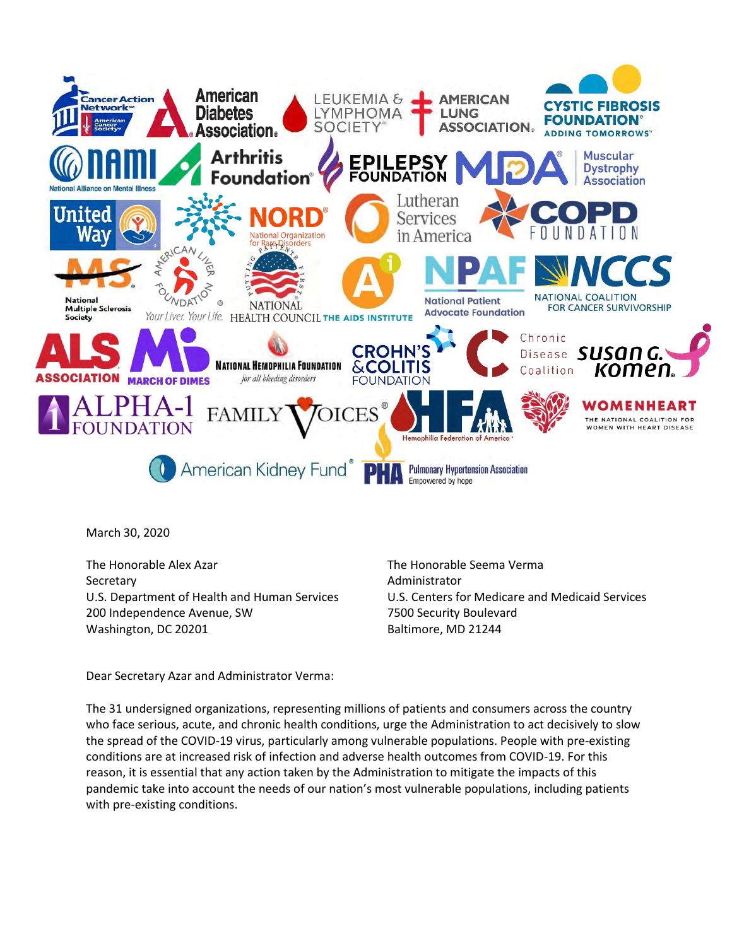

March 30, 2020

The Honorable Alex Azar The Honorable Seema Verma Secretary **Administrator Administrator** 200 Independence Avenue, SW 7500 Security Boulevard Washington, DC 20201 Baltimore, MD 21244

U.S. Department of Health and Human Services U.S. Centers for Medicare and Medicaid Services

Dear Secretary Azar and Administrator Verma:

The 31 undersigned organizations, representing millions of patients and consumers across the country who face serious, acute, and chronic health conditions, urge the Administration to act decisively to slow the spread of the COVID-19 virus, particularly among vulnerable populations. People with pre-existing conditions are at increased risk of infection and adverse health outcomes from COVID-19. For this reason, it is essential that any action taken by the Administration to mitigate the impacts of this pandemic take into account the needs of our nation's most vulnerable populations, including patients with pre-existing conditions.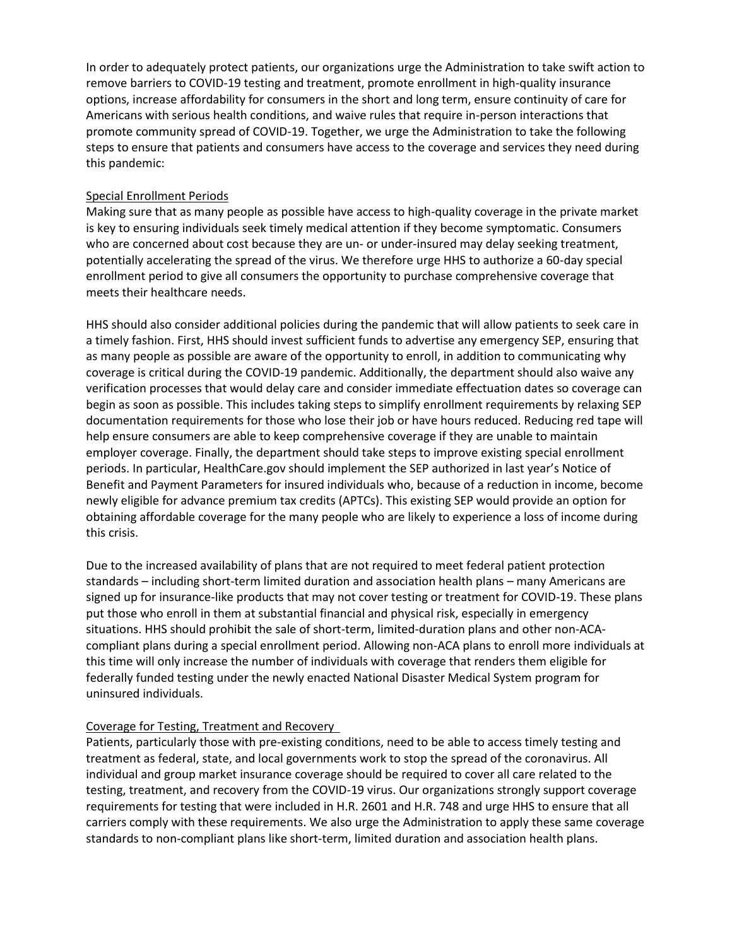In order to adequately protect patients, our organizations urge the Administration to take swift action to remove barriers to COVID-19 testing and treatment, promote enrollment in high-quality insurance options, increase affordability for consumers in the short and long term, ensure continuity of care for Americans with serious health conditions, and waive rules that require in-person interactions that promote community spread of COVID-19. Together, we urge the Administration to take the following steps to ensure that patients and consumers have access to the coverage and services they need during this pandemic:

# Special Enrollment Periods

Making sure that as many people as possible have access to high-quality coverage in the private market is key to ensuring individuals seek timely medical attention if they become symptomatic. Consumers who are concerned about cost because they are un- or under-insured may delay seeking treatment, potentially accelerating the spread of the virus. We therefore urge HHS to authorize a 60-day special enrollment period to give all consumers the opportunity to purchase comprehensive coverage that meets their healthcare needs.

HHS should also consider additional policies during the pandemic that will allow patients to seek care in a timely fashion. First, HHS should invest sufficient funds to advertise any emergency SEP, ensuring that as many people as possible are aware of the opportunity to enroll, in addition to communicating why coverage is critical during the COVID-19 pandemic. Additionally, the department should also waive any verification processes that would delay care and consider immediate effectuation dates so coverage can begin as soon as possible. This includes taking steps to simplify enrollment requirements by relaxing SEP documentation requirements for those who lose their job or have hours reduced. Reducing red tape will help ensure consumers are able to keep comprehensive coverage if they are unable to maintain employer coverage. Finally, the department should take steps to improve existing special enrollment periods. In particular, HealthCare.gov should implement the SEP authorized in last year's Notice of Benefit and Payment Parameters for insured individuals who, because of a reduction in income, become newly eligible for advance premium tax credits (APTCs). This existing SEP would provide an option for obtaining affordable coverage for the many people who are likely to experience a loss of income during this crisis.

Due to the increased availability of plans that are not required to meet federal patient protection standards – including short-term limited duration and association health plans – many Americans are signed up for insurance-like products that may not cover testing or treatment for COVID-19. These plans put those who enroll in them at substantial financial and physical risk, especially in emergency situations. HHS should prohibit the sale of short-term, limited-duration plans and other non-ACAcompliant plans during a special enrollment period. Allowing non-ACA plans to enroll more individuals at this time will only increase the number of individuals with coverage that renders them eligible for federally funded testing under the newly enacted National Disaster Medical System program for uninsured individuals.

## Coverage for Testing, Treatment and Recovery

Patients, particularly those with pre-existing conditions, need to be able to access timely testing and treatment as federal, state, and local governments work to stop the spread of the coronavirus. All individual and group market insurance coverage should be required to cover all care related to the testing, treatment, and recovery from the COVID-19 virus. Our organizations strongly support coverage requirements for testing that were included in H.R. 2601 and H.R. 748 and urge HHS to ensure that all carriers comply with these requirements. We also urge the Administration to apply these same coverage standards to non-compliant plans like short-term, limited duration and association health plans.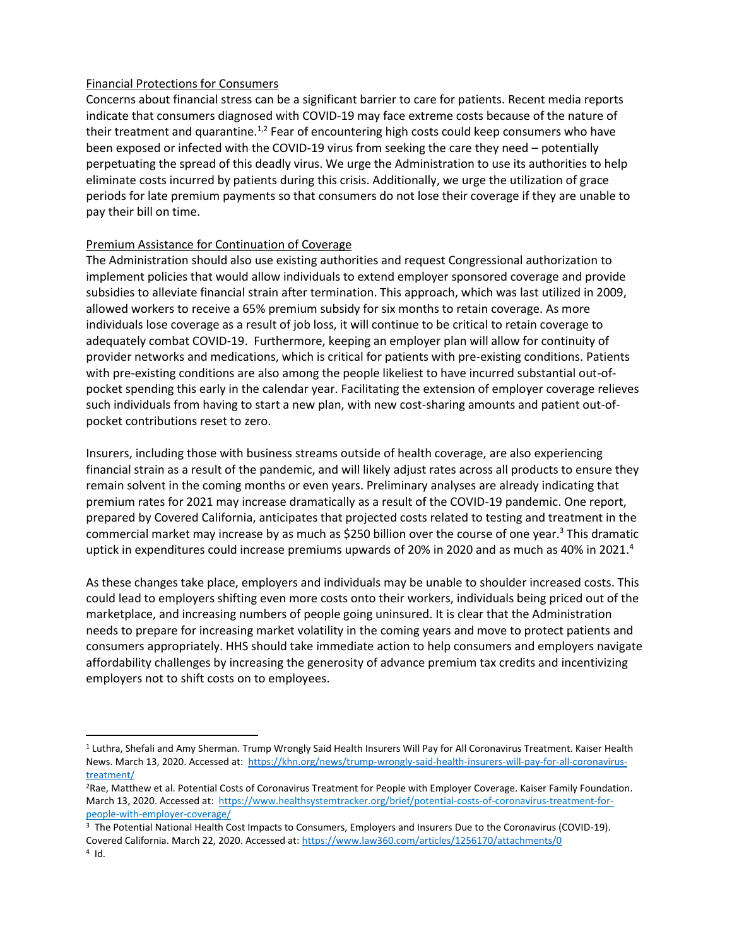## Financial Protections for Consumers

Concerns about financial stress can be a significant barrier to care for patients. Recent media reports indicate that consumers diagnosed with COVID-19 may face extreme costs because of the nature of their treatment and quarantine.<sup>1,2</sup> Fear of encountering high costs could keep consumers who have been exposed or infected with the COVID-19 virus from seeking the care they need – potentially perpetuating the spread of this deadly virus. We urge the Administration to use its authorities to help eliminate costs incurred by patients during this crisis. Additionally, we urge the utilization of grace periods for late premium payments so that consumers do not lose their coverage if they are unable to pay their bill on time.

## Premium Assistance for Continuation of Coverage

The Administration should also use existing authorities and request Congressional authorization to implement policies that would allow individuals to extend employer sponsored coverage and provide subsidies to alleviate financial strain after termination. This approach, which was last utilized in 2009, allowed workers to receive a 65% premium subsidy for six months to retain coverage. As more individuals lose coverage as a result of job loss, it will continue to be critical to retain coverage to adequately combat COVID-19. Furthermore, keeping an employer plan will allow for continuity of provider networks and medications, which is critical for patients with pre-existing conditions. Patients with pre-existing conditions are also among the people likeliest to have incurred substantial out-ofpocket spending this early in the calendar year. Facilitating the extension of employer coverage relieves such individuals from having to start a new plan, with new cost-sharing amounts and patient out-ofpocket contributions reset to zero.

Insurers, including those with business streams outside of health coverage, are also experiencing financial strain as a result of the pandemic, and will likely adjust rates across all products to ensure they remain solvent in the coming months or even years. Preliminary analyses are already indicating that premium rates for 2021 may increase dramatically as a result of the COVID-19 pandemic. One report, prepared by Covered California, anticipates that projected costs related to testing and treatment in the commercial market may increase by as much as \$250 billion over the course of one year.<sup>3</sup> This dramatic uptick in expenditures could increase premiums upwards of 20% in 2020 and as much as 40% in 2021.<sup>4</sup>

As these changes take place, employers and individuals may be unable to shoulder increased costs. This could lead to employers shifting even more costs onto their workers, individuals being priced out of the marketplace, and increasing numbers of people going uninsured. It is clear that the Administration needs to prepare for increasing market volatility in the coming years and move to protect patients and consumers appropriately. HHS should take immediate action to help consumers and employers navigate affordability challenges by increasing the generosity of advance premium tax credits and incentivizing employers not to shift costs on to employees.

 $\overline{\phantom{a}}$ 

<sup>1</sup> Luthra, Shefali and Amy Sherman. Trump Wrongly Said Health Insurers Will Pay for All Coronavirus Treatment. Kaiser Health News. March 13, 2020. Accessed at: [https://khn.org/news/trump-wrongly-said-health-insurers-will-pay-for-all-coronavirus](https://khn.org/news/trump-wrongly-said-health-insurers-will-pay-for-all-coronavirus-treatment/)[treatment/](https://khn.org/news/trump-wrongly-said-health-insurers-will-pay-for-all-coronavirus-treatment/)

<sup>2</sup>Rae, Matthew et al. Potential Costs of Coronavirus Treatment for People with Employer Coverage. Kaiser Family Foundation. March 13, 2020. Accessed at: [https://www.healthsystemtracker.org/brief/potential-costs-of-coronavirus-treatment-for](https://www.healthsystemtracker.org/brief/potential-costs-of-coronavirus-treatment-for-people-with-employer-coverage/)[people-with-employer-coverage/](https://www.healthsystemtracker.org/brief/potential-costs-of-coronavirus-treatment-for-people-with-employer-coverage/)

<sup>3</sup> The Potential National Health Cost Impacts to Consumers, Employers and Insurers Due to the Coronavirus (COVID-19). Covered California. March 22, 2020. Accessed at:<https://www.law360.com/articles/1256170/attachments/0>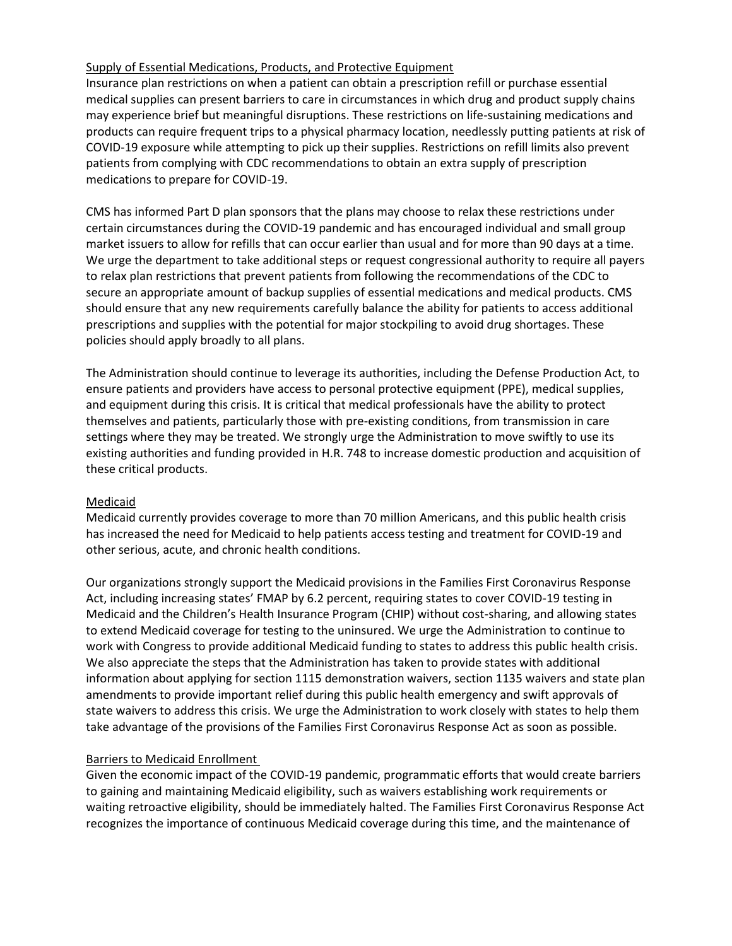## Supply of Essential Medications, Products, and Protective Equipment

Insurance plan restrictions on when a patient can obtain a prescription refill or purchase essential medical supplies can present barriers to care in circumstances in which drug and product supply chains may experience brief but meaningful disruptions. These restrictions on life-sustaining medications and products can require frequent trips to a physical pharmacy location, needlessly putting patients at risk of COVID-19 exposure while attempting to pick up their supplies. Restrictions on refill limits also prevent patients from complying with CDC recommendations to obtain an extra supply of prescription medications to prepare for COVID-19.

CMS has informed Part D plan sponsors that the plans may choose to relax these restrictions under certain circumstances during the COVID-19 pandemic and has encouraged individual and small group market issuers to allow for refills that can occur earlier than usual and for more than 90 days at a time. We urge the department to take additional steps or request congressional authority to require all payers to relax plan restrictions that prevent patients from following the recommendations of the CDC to secure an appropriate amount of backup supplies of essential medications and medical products. CMS should ensure that any new requirements carefully balance the ability for patients to access additional prescriptions and supplies with the potential for major stockpiling to avoid drug shortages. These policies should apply broadly to all plans.

The Administration should continue to leverage its authorities, including the Defense Production Act, to ensure patients and providers have access to personal protective equipment (PPE), medical supplies, and equipment during this crisis. It is critical that medical professionals have the ability to protect themselves and patients, particularly those with pre-existing conditions, from transmission in care settings where they may be treated. We strongly urge the Administration to move swiftly to use its existing authorities and funding provided in H.R. 748 to increase domestic production and acquisition of these critical products.

## Medicaid

Medicaid currently provides coverage to more than 70 million Americans, and this public health crisis has increased the need for Medicaid to help patients access testing and treatment for COVID-19 and other serious, acute, and chronic health conditions.

Our organizations strongly support the Medicaid provisions in the Families First Coronavirus Response Act, including increasing states' FMAP by 6.2 percent, requiring states to cover COVID-19 testing in Medicaid and the Children's Health Insurance Program (CHIP) without cost-sharing, and allowing states to extend Medicaid coverage for testing to the uninsured. We urge the Administration to continue to work with Congress to provide additional Medicaid funding to states to address this public health crisis. We also appreciate the steps that the Administration has taken to provide states with additional information about applying for section 1115 demonstration waivers, section 1135 waivers and state plan amendments to provide important relief during this public health emergency and swift approvals of state waivers to address this crisis. We urge the Administration to work closely with states to help them take advantage of the provisions of the Families First Coronavirus Response Act as soon as possible.

# Barriers to Medicaid Enrollment

Given the economic impact of the COVID-19 pandemic, programmatic efforts that would create barriers to gaining and maintaining Medicaid eligibility, such as waivers establishing work requirements or waiting retroactive eligibility, should be immediately halted. The Families First Coronavirus Response Act recognizes the importance of continuous Medicaid coverage during this time, and the maintenance of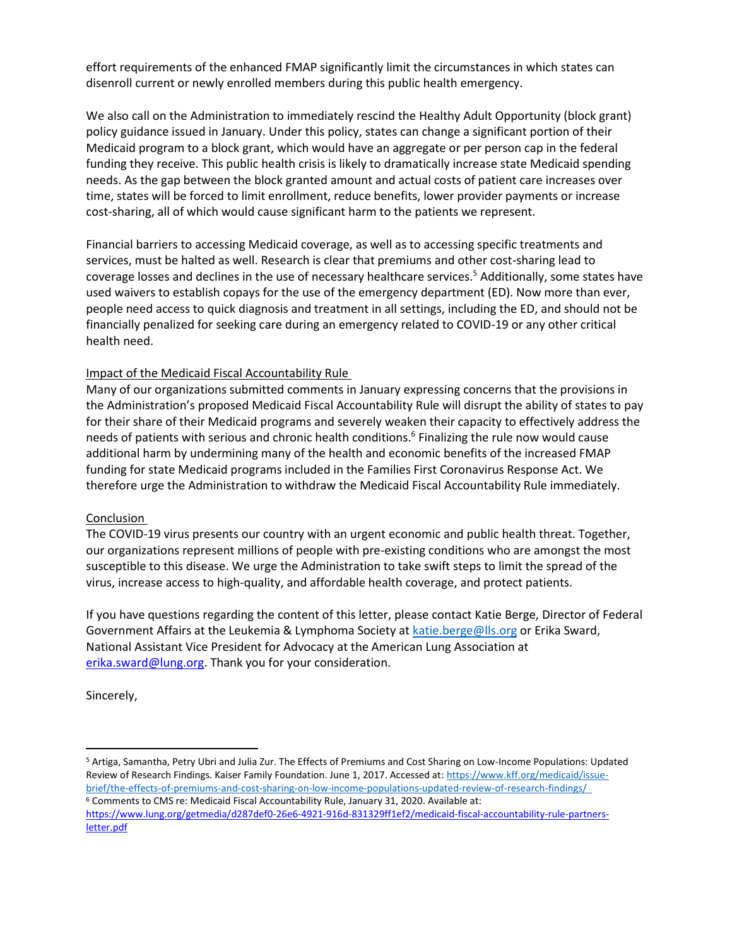effort requirements of the enhanced FMAP significantly limit the circumstances in which states can disenroll current or newly enrolled members during this public health emergency.

We also call on the Administration to immediately rescind the Healthy Adult Opportunity (block grant) policy guidance issued in January. Under this policy, states can change a significant portion of their Medicaid program to a block grant, which would have an aggregate or per person cap in the federal funding they receive. This public health crisis is likely to dramatically increase state Medicaid spending needs. As the gap between the block granted amount and actual costs of patient care increases over time, states will be forced to limit enrollment, reduce benefits, lower provider payments or increase cost-sharing, all of which would cause significant harm to the patients we represent.

Financial barriers to accessing Medicaid coverage, as well as to accessing specific treatments and services, must be halted as well. Research is clear that premiums and other cost-sharing lead to coverage losses and declines in the use of necessary healthcare services.<sup>5</sup> Additionally, some states have used waivers to establish copays for the use of the emergency department (ED). Now more than ever, people need access to quick diagnosis and treatment in all settings, including the ED, and should not be financially penalized for seeking care during an emergency related to COVID-19 or any other critical health need.

# Impact of the Medicaid Fiscal Accountability Rule

Many of our organizations submitted comments in January expressing concerns that the provisions in the Administration's proposed Medicaid Fiscal Accountability Rule will disrupt the ability of states to pay for their share of their Medicaid programs and severely weaken their capacity to effectively address the needs of patients with serious and chronic health conditions.<sup>6</sup> Finalizing the rule now would cause additional harm by undermining many of the health and economic benefits of the increased FMAP funding for state Medicaid programs included in the Families First Coronavirus Response Act. We therefore urge the Administration to withdraw the Medicaid Fiscal Accountability Rule immediately.

## **Conclusion**

The COVID-19 virus presents our country with an urgent economic and public health threat. Together, our organizations represent millions of people with pre-existing conditions who are amongst the most susceptible to this disease. We urge the Administration to take swift steps to limit the spread of the virus, increase access to high-quality, and affordable health coverage, and protect patients.

If you have questions regarding the content of this letter, please contact Katie Berge, Director of Federal Government Affairs at the Leukemia & Lymphoma Society at [katie.berge@lls.org](mailto:katie.berge@lls.org) or Erika Sward, National Assistant Vice President for Advocacy at the American Lung Association at [erika.sward@lung.org.](mailto:erika.sward@lung.org) Thank you for your consideration.

Sincerely,

 $\overline{a}$ 

<sup>5</sup> Artiga, Samantha, Petry Ubri and Julia Zur. The Effects of Premiums and Cost Sharing on Low-Income Populations: Updated Review of Research Findings. Kaiser Family Foundation. June 1, 2017. Accessed at: [https://www.kff.org/medicaid/issue](https://www.kff.org/medicaid/issue-brief/the-effects-of-premiums-and-cost-sharing-on-low-income-populations-updated-review-of-research-findings/)[brief/the-effects-of-premiums-and-cost-sharing-on-low-income-populations-updated-review-of-research-findings/](https://www.kff.org/medicaid/issue-brief/the-effects-of-premiums-and-cost-sharing-on-low-income-populations-updated-review-of-research-findings/) 

<sup>6</sup> Comments to CMS re: Medicaid Fiscal Accountability Rule, January 31, 2020. Available at: [https://www.lung.org/getmedia/d287def0-26e6-4921-916d-831329ff1ef2/medicaid-fiscal-accountability-rule-partners](https://www.lung.org/getmedia/d287def0-26e6-4921-916d-831329ff1ef2/medicaid-fiscal-accountability-rule-partners-letter.pdf)[letter.pdf](https://www.lung.org/getmedia/d287def0-26e6-4921-916d-831329ff1ef2/medicaid-fiscal-accountability-rule-partners-letter.pdf)